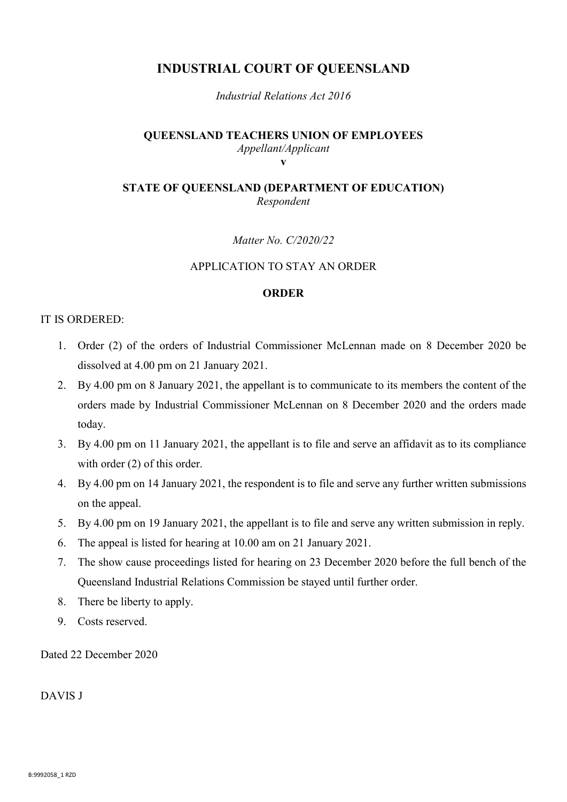# **INDUSTRIAL COURT OF QUEENSLAND**

*Industrial Relations Act 2016*

#### **QUEENSLAND TEACHERS UNION OF EMPLOYEES** *Appellant/Applicant* **v**

## **STATE OF QUEENSLAND (DEPARTMENT OF EDUCATION)**  *Respondent*

*Matter No. C/2020/22*

### APPLICATION TO STAY AN ORDER

#### **ORDER**

### IT IS ORDERED:

- 1. Order (2) of the orders of Industrial Commissioner McLennan made on 8 December 2020 be dissolved at 4.00 pm on 21 January 2021.
- 2. By 4.00 pm on 8 January 2021, the appellant is to communicate to its members the content of the orders made by Industrial Commissioner McLennan on 8 December 2020 and the orders made today.
- 3. By 4.00 pm on 11 January 2021, the appellant is to file and serve an affidavit as to its compliance with order  $(2)$  of this order.
- 4. By 4.00 pm on 14 January 2021, the respondent is to file and serve any further written submissions on the appeal.
- 5. By 4.00 pm on 19 January 2021, the appellant is to file and serve any written submission in reply.
- 6. The appeal is listed for hearing at 10.00 am on 21 January 2021.
- 7. The show cause proceedings listed for hearing on 23 December 2020 before the full bench of the Queensland Industrial Relations Commission be stayed until further order.
- 8. There be liberty to apply.
- 9. Costs reserved.

Dated 22 December 2020

DAVIS J